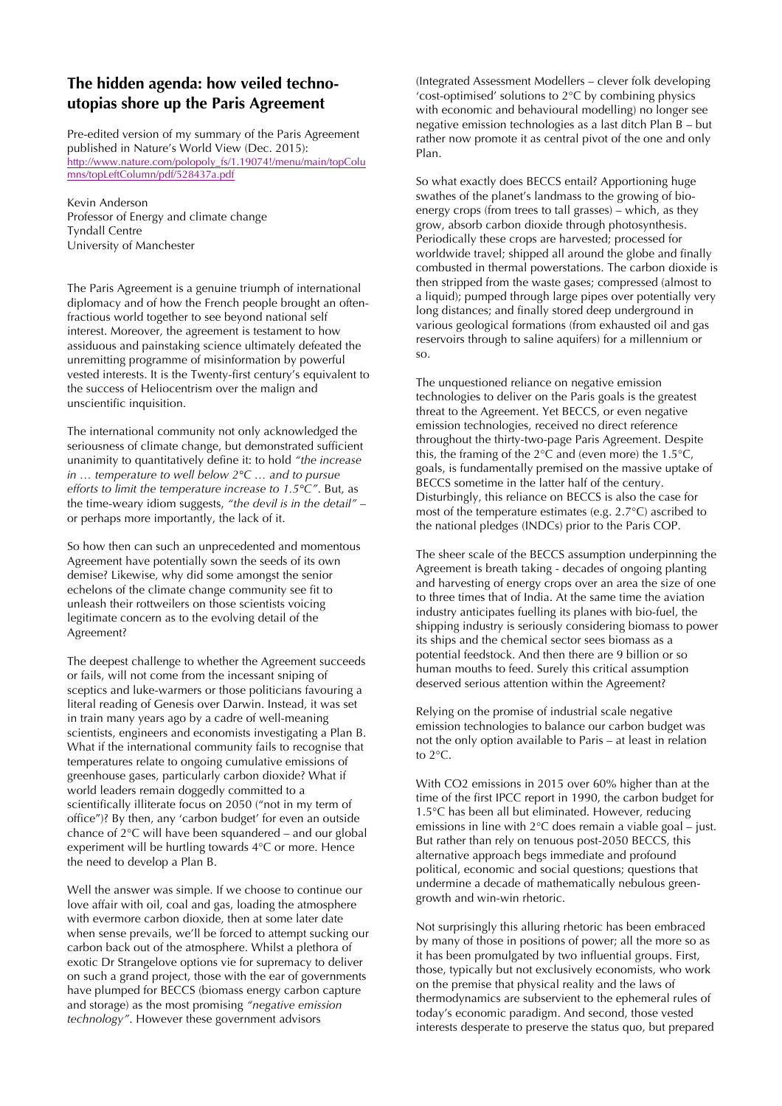## **The hidden agenda: how veiled technoutopias shore up the Paris Agreement**

Pre-edited version of my summary of the Paris Agreement published in Nature's World View (Dec. 2015): http://www.nature.com/polopoly\_fs/1.19074!/menu/main/topColu mns/topLeftColumn/pdf/528437a.pdf

Kevin Anderson Professor of Energy and climate change Tyndall Centre University of Manchester

The Paris Agreement is a genuine triumph of international diplomacy and of how the French people brought an oftenfractious world together to see beyond national self interest. Moreover, the agreement is testament to how assiduous and painstaking science ultimately defeated the unremitting programme of misinformation by powerful vested interests. It is the Twenty-first century's equivalent to the success of Heliocentrism over the malign and unscientific inquisition.

The international community not only acknowledged the seriousness of climate change, but demonstrated sufficient unanimity to quantitatively define it: to hold *"the increase in … temperature to well below 2°C … and to pursue efforts to limit the temperature increase to 1.5°C"*. But, as the time-weary idiom suggests, *"the devil is in the detail"* – or perhaps more importantly, the lack of it.

So how then can such an unprecedented and momentous Agreement have potentially sown the seeds of its own demise? Likewise, why did some amongst the senior echelons of the climate change community see fit to unleash their rottweilers on those scientists voicing legitimate concern as to the evolving detail of the Agreement?

The deepest challenge to whether the Agreement succeeds or fails, will not come from the incessant sniping of sceptics and luke-warmers or those politicians favouring a literal reading of Genesis over Darwin. Instead, it was set in train many years ago by a cadre of well-meaning scientists, engineers and economists investigating a Plan B. What if the international community fails to recognise that temperatures relate to ongoing cumulative emissions of greenhouse gases, particularly carbon dioxide? What if world leaders remain doggedly committed to a scientifically illiterate focus on 2050 ("not in my term of office")? By then, any 'carbon budget' for even an outside chance of 2°C will have been squandered – and our global experiment will be hurtling towards 4°C or more. Hence the need to develop a Plan B.

Well the answer was simple. If we choose to continue our love affair with oil, coal and gas, loading the atmosphere with evermore carbon dioxide, then at some later date when sense prevails, we'll be forced to attempt sucking our carbon back out of the atmosphere. Whilst a plethora of exotic Dr Strangelove options vie for supremacy to deliver on such a grand project, those with the ear of governments have plumped for BECCS (biomass energy carbon capture and storage) as the most promising *"negative emission technology"*. However these government advisors

(Integrated Assessment Modellers – clever folk developing 'cost-optimised' solutions to 2°C by combining physics with economic and behavioural modelling) no longer see negative emission technologies as a last ditch Plan B – but rather now promote it as central pivot of the one and only Plan.

So what exactly does BECCS entail? Apportioning huge swathes of the planet's landmass to the growing of bioenergy crops (from trees to tall grasses) – which, as they grow, absorb carbon dioxide through photosynthesis. Periodically these crops are harvested; processed for worldwide travel; shipped all around the globe and finally combusted in thermal powerstations. The carbon dioxide is then stripped from the waste gases; compressed (almost to a liquid); pumped through large pipes over potentially very long distances; and finally stored deep underground in various geological formations (from exhausted oil and gas reservoirs through to saline aquifers) for a millennium or so.

The unquestioned reliance on negative emission technologies to deliver on the Paris goals is the greatest threat to the Agreement. Yet BECCS, or even negative emission technologies, received no direct reference throughout the thirty-two-page Paris Agreement. Despite this, the framing of the  $2^{\circ}$ C and (even more) the 1.5 $^{\circ}$ C, goals, is fundamentally premised on the massive uptake of BECCS sometime in the latter half of the century. Disturbingly, this reliance on BECCS is also the case for most of the temperature estimates (e.g. 2.7°C) ascribed to the national pledges (INDCs) prior to the Paris COP.

The sheer scale of the BECCS assumption underpinning the Agreement is breath taking - decades of ongoing planting and harvesting of energy crops over an area the size of one to three times that of India. At the same time the aviation industry anticipates fuelling its planes with bio-fuel, the shipping industry is seriously considering biomass to power its ships and the chemical sector sees biomass as a potential feedstock. And then there are 9 billion or so human mouths to feed. Surely this critical assumption deserved serious attention within the Agreement?

Relying on the promise of industrial scale negative emission technologies to balance our carbon budget was not the only option available to Paris – at least in relation to 2°C.

With CO2 emissions in 2015 over 60% higher than at the time of the first IPCC report in 1990, the carbon budget for 1.5°C has been all but eliminated. However, reducing emissions in line with 2°C does remain a viable goal – just. But rather than rely on tenuous post-2050 BECCS, this alternative approach begs immediate and profound political, economic and social questions; questions that undermine a decade of mathematically nebulous greengrowth and win-win rhetoric.

Not surprisingly this alluring rhetoric has been embraced by many of those in positions of power; all the more so as it has been promulgated by two influential groups. First, those, typically but not exclusively economists, who work on the premise that physical reality and the laws of thermodynamics are subservient to the ephemeral rules of today's economic paradigm. And second, those vested interests desperate to preserve the status quo, but prepared